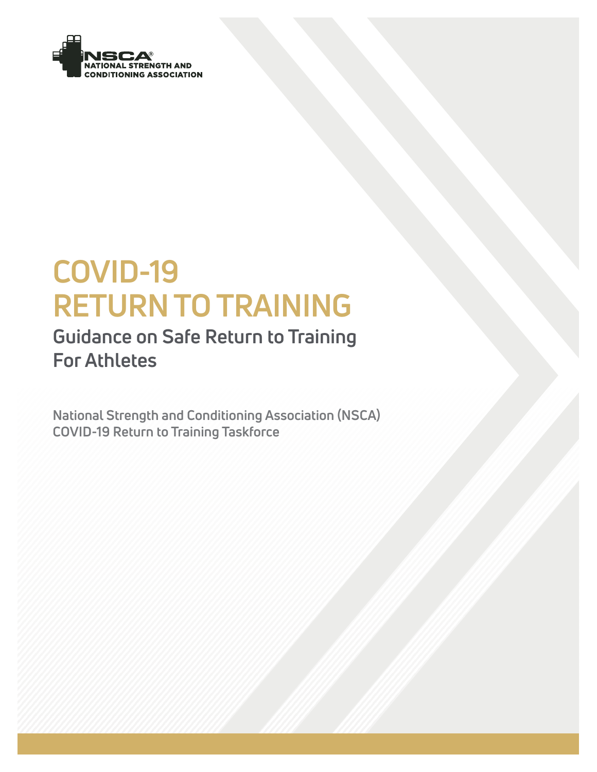

# **COVID-19 RETURN TO TRAINING**

# **Guidance on Safe Return to Training For Athletes**

**National Strength and Conditioning Association (NSCA) COVID-19 Return to Training Taskforce**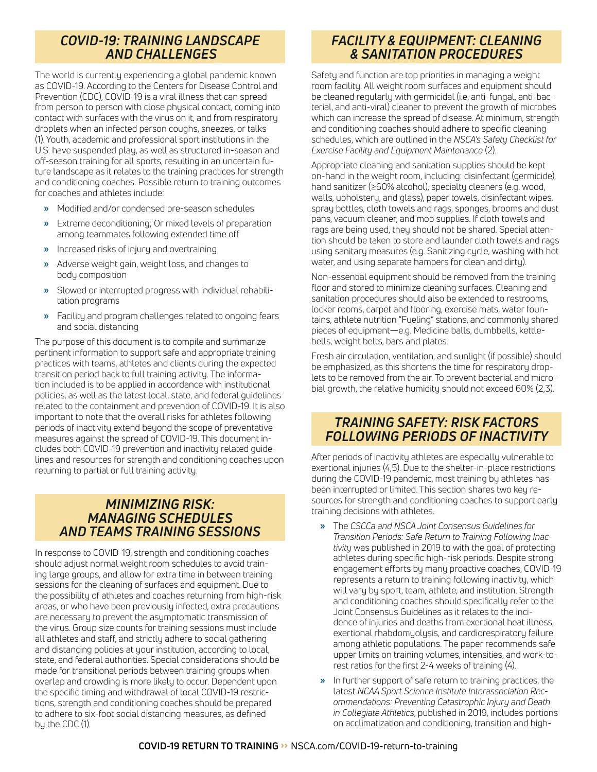## *COVID-19: TRAINING LANDSCAPE AND CHALLENGES*

The world is currently experiencing a global pandemic known as COVID-19. According to the Centers for Disease Control and Prevention (CDC), COVID-19 is a viral illness that can spread from person to person with close physical contact, coming into contact with surfaces with the virus on it, and from respiratory droplets when an infected person coughs, sneezes, or talks (1). Youth, academic and professional sport institutions in the U.S. have suspended play, as well as structured in-season and off-season training for all sports, resulting in an uncertain future landscape as it relates to the training practices for strength and conditioning coaches. Possible return to training outcomes for coaches and athletes include:

- **»** Modified and/or condensed pre-season schedules
- **»** Extreme deconditioning; Or mixed levels of preparation among teammates following extended time off
- **»** Increased risks of injury and overtraining
- **»** Adverse weight gain, weight loss, and changes to body composition
- **»** Slowed or interrupted progress with individual rehabilitation programs
- **»** Facility and program challenges related to ongoing fears and social distancing

The purpose of this document is to compile and summarize pertinent information to support safe and appropriate training practices with teams, athletes and clients during the expected transition period back to full training activity. The information included is to be applied in accordance with institutional policies, as well as the latest local, state, and federal guidelines related to the containment and prevention of COVID-19. It is also important to note that the overall risks for athletes following periods of inactivity extend beyond the scope of preventative measures against the spread of COVID-19. This document includes both COVID-19 prevention and inactivity related guidelines and resources for strength and conditioning coaches upon returning to partial or full training activity.

#### *MINIMIZING RISK: MANAGING SCHEDULES AND TEAMS TRAINING SESSIONS*

In response to COVID-19, strength and conditioning coaches should adjust normal weight room schedules to avoid training large groups, and allow for extra time in between training sessions for the cleaning of surfaces and equipment. Due to the possibility of athletes and coaches returning from high-risk areas, or who have been previously infected, extra precautions are necessary to prevent the asymptomatic transmission of the virus. Group size counts for training sessions must include all athletes and staff, and strictly adhere to social gathering and distancing policies at your institution, according to local, state, and federal authorities. Special considerations should be made for transitional periods between training groups when overlap and crowding is more likely to occur. Dependent upon the specific timing and withdrawal of local COVID-19 restrictions, strength and conditioning coaches should be prepared to adhere to six-foot social distancing measures, as defined by the CDC (1).

### *FACILITY & EQUIPMENT: CLEANING & SANITATION PROCEDURES*

Safety and function are top priorities in managing a weight room facility. All weight room surfaces and equipment should be cleaned regularly with germicidal (i.e. anti-fungal, anti-bacterial, and anti-viral) cleaner to prevent the growth of microbes which can increase the spread of disease. At minimum, strength and conditioning coaches should adhere to specific cleaning schedules, which are outlined in the *NSCA's Safety Checklist for Exercise Facility and Equipment Maintenance* (2).

Appropriate cleaning and sanitation supplies should be kept on-hand in the weight room, including: disinfectant (germicide), hand sanitizer (≥60% alcohol), specialty cleaners (e.g. wood, walls, upholstery, and glass), paper towels, disinfectant wipes, spray bottles, cloth towels and rags, sponges, brooms and dust pans, vacuum cleaner, and mop supplies. If cloth towels and rags are being used, they should not be shared. Special attention should be taken to store and launder cloth towels and rags using sanitary measures (e.g. Sanitizing cycle, washing with hot water, and using separate hampers for clean and dirty).

Non-essential equipment should be removed from the training floor and stored to minimize cleaning surfaces. Cleaning and sanitation procedures should also be extended to restrooms, locker rooms, carpet and flooring, exercise mats, water fountains, athlete nutrition "Fueling" stations, and commonly shared pieces of equipment—e.g. Medicine balls, dumbbells, kettlebells, weight belts, bars and plates.

Fresh air circulation, ventilation, and sunlight (if possible) should be emphasized, as this shortens the time for respiratory droplets to be removed from the air. To prevent bacterial and microbial growth, the relative humidity should not exceed 60% (2,3).

#### *TRAINING SAFETY: RISK FACTORS FOLLOWING PERIODS OF INACTIVITY*

After periods of inactivity athletes are especially vulnerable to exertional injuries (4,5). Due to the shelter-in-place restrictions during the COVID-19 pandemic, most training by athletes has been interrupted or limited. This section shares two key resources for strength and conditioning coaches to support early training decisions with athletes.

- **»** The *[CSCCa and NSCA Joint Consensus Guidelines for](https://www.nsca.com/media-room/press-releases/nsca-and-cscca-announce-safe-return-to-training-guidelines/)  [Transition Periods: Safe Return to Training Following Inac](https://www.nsca.com/media-room/press-releases/nsca-and-cscca-announce-safe-return-to-training-guidelines/)[tivity](https://www.nsca.com/media-room/press-releases/nsca-and-cscca-announce-safe-return-to-training-guidelines/)* was published in 2019 to with the goal of protecting athletes during specific high-risk periods. Despite strong engagement efforts by many proactive coaches, COVID-19 represents a return to training following inactivity, which will vary by sport, team, athlete, and institution. Strength and conditioning coaches should specifically refer to the Joint Consensus Guidelines as it relates to the incidence of injuries and deaths from exertional heat illness, exertional rhabdomyolysis, and cardiorespiratory failure among athletic populations. The paper recommends safe upper limits on training volumes, intensities, and work-torest ratios for the first 2-4 weeks of training (4).
- **»** In further support of safe return to training practices, the latest *[NCAA Sport Science Institute Interassociation Rec](https://ncaaorg.s3.amazonaws.com/ssi/injury_prev/SSI_PreventingCatastrophicInjuryBooklet.pdf)[ommendations: Preventing Catastrophic Injury and Death](https://ncaaorg.s3.amazonaws.com/ssi/injury_prev/SSI_PreventingCatastrophicInjuryBooklet.pdf)  [in Collegiate Athletics](https://ncaaorg.s3.amazonaws.com/ssi/injury_prev/SSI_PreventingCatastrophicInjuryBooklet.pdf)*, published in 2019, includes portions on acclimatization and conditioning, transition and high-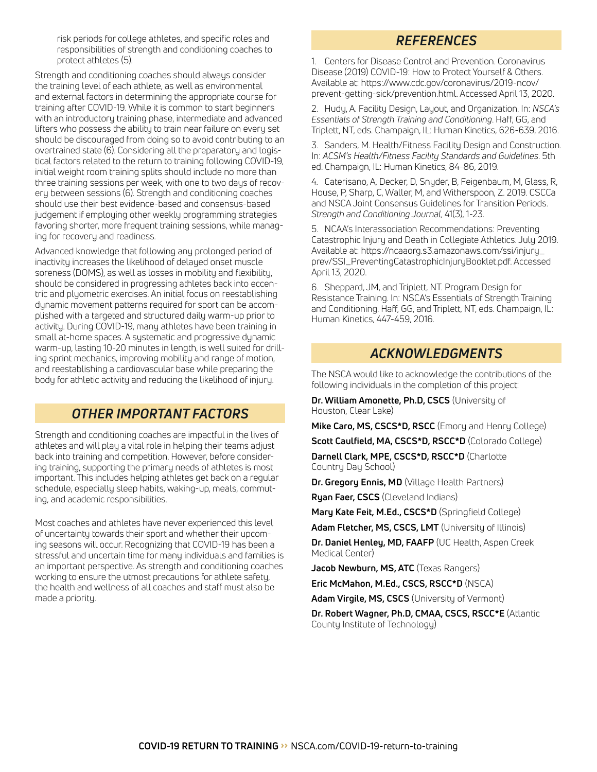risk periods for college athletes, and specific roles and responsibilities of strength and conditioning coaches to protect athletes (5).

Strength and conditioning coaches should always consider the training level of each athlete, as well as environmental and external factors in determining the appropriate course for training after COVID-19. While it is common to start beginners with an introductory training phase, intermediate and advanced lifters who possess the ability to train near failure on every set should be discouraged from doing so to avoid contributing to an overtrained state (6). Considering all the preparatory and logistical factors related to the return to training following COVID-19, initial weight room training splits should include no more than three training sessions per week, with one to two days of recovery between sessions (6). Strength and conditioning coaches should use their best evidence-based and consensus-based judgement if employing other weekly programming strategies favoring shorter, more frequent training sessions, while managing for recovery and readiness.

Advanced knowledge that following any prolonged period of inactivity increases the likelihood of delayed onset muscle soreness (DOMS), as well as losses in mobility and flexibility, should be considered in progressing athletes back into eccentric and plyometric exercises. An initial focus on reestablishing dynamic movement patterns required for sport can be accomplished with a targeted and structured daily warm-up prior to activity. During COVID-19, many athletes have been training in small at-home spaces. A systematic and progressive dynamic warm-up, lasting 10-20 minutes in length, is well suited for drilling sprint mechanics, improving mobility and range of motion, and reestablishing a cardiovascular base while preparing the body for athletic activity and reducing the likelihood of injury.

### *OTHER IMPORTANT FACTORS*

Strength and conditioning coaches are impactful in the lives of athletes and will play a vital role in helping their teams adjust back into training and competition. However, before considering training, supporting the primary needs of athletes is most important. This includes helping athletes get back on a regular schedule, especially sleep habits, waking-up, meals, commuting, and academic responsibilities.

Most coaches and athletes have never experienced this level of uncertainty towards their sport and whether their upcoming seasons will occur. Recognizing that COVID-19 has been a stressful and uncertain time for many individuals and families is an important perspective. As strength and conditioning coaches working to ensure the utmost precautions for athlete safety, the health and wellness of all coaches and staff must also be made a priority.

#### *REFERENCES*

1. Centers for Disease Control and Prevention. Coronavirus Disease (2019) COVID-19: How to Protect Yourself & Others. Available at: https://www.cdc.gov/coronavirus/2019-ncov/ prevent-getting-sick/prevention.html. Accessed April 13, 2020.

2. Hudy, A. Facility Design, Layout, and Organization. In: *NSCA's Essentials of Strength Training and Conditioning*. Haff, GG, and Triplett, NT, eds. Champaign, IL: Human Kinetics, 626-639, 2016.

3. Sanders, M. Health/Fitness Facility Design and Construction. In: *ACSM's Health/Fitness Facility Standards and Guidelines*. 5th ed. Champaign, IL: Human Kinetics, 84-86, 2019.

4. Caterisano, A, Decker, D, Snyder, B, Feigenbaum, M, Glass, R, House, P, Sharp, C, Waller, M, and Witherspoon, Z. 2019. CSCCa and NSCA Joint Consensus Guidelines for Transition Periods. *Strength and Conditioning Journal*, 41(3), 1-23.

5. NCAA's Interassociation Recommendations: Preventing Catastrophic Injury and Death in Collegiate Athletics. July 2019. Available at: https://ncaaorg.s3.amazonaws.com/ssi/injury\_ prev/SSI\_PreventingCatastrophicInjuryBooklet.pdf. Accessed April 13, 2020.

6. Sheppard, JM, and Triplett, NT. Program Design for Resistance Training. In: NSCA's Essentials of Strength Training and Conditioning. Haff, GG, and Triplett, NT, eds. Champaign, IL: Human Kinetics, 447-459, 2016.

### *ACKNOWLEDGMENTS*

The NSCA would like to acknowledge the contributions of the following individuals in the completion of this project:

**Dr. William Amonette, Ph.D, CSCS** (University of Houston, Clear Lake)

**Mike Caro, MS, CSCS\*D, RSCC** (Emory and Henry College)

**Scott Caulfield, MA, CSCS\*D, RSCC\*D** (Colorado College)

**Darnell Clark, MPE, CSCS\*D, RSCC\*D** (Charlotte Country Day School)

**Dr. Gregory Ennis, MD** (Village Health Partners)

**Ryan Faer, CSCS** (Cleveland Indians)

**Mary Kate Feit, M.Ed., CSCS\*D** (Springfield College)

**Adam Fletcher, MS, CSCS, LMT** (University of Illinois)

**Dr. Daniel Henley, MD, FAAFP** (UC Health, Aspen Creek Medical Center)

**Jacob Newburn, MS, ATC** (Texas Rangers)

**Eric McMahon, M.Ed., CSCS, RSCC\*D** (NSCA)

**Adam Virgile, MS, CSCS** (University of Vermont)

**Dr. Robert Wagner, Ph.D, CMAA, CSCS, RSCC\*E** (Atlantic County Institute of Technology)